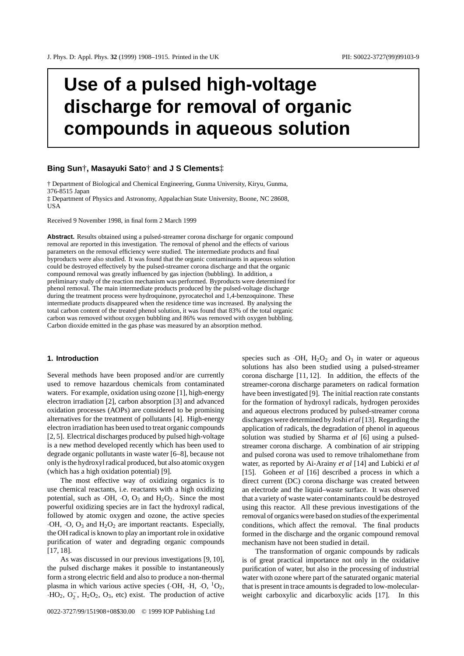# **Use of a pulsed high-voltage discharge for removal of organic compounds in aqueous solution**

# **Bing Sun**†**, Masayuki Sato**† **and J S Clements**‡

† Department of Biological and Chemical Engineering, Gunma University, Kiryu, Gunma, 376-8515 Japan

‡ Department of Physics and Astronomy, Appalachian State University, Boone, NC 28608, **USA** 

Received 9 November 1998, in final form 2 March 1999

**Abstract.** Results obtained using a pulsed-streamer corona discharge for organic compound removal are reported in this investigation. The removal of phenol and the effects of various parameters on the removal efficiency were studied. The intermediate products and final byproducts were also studied. It was found that the organic contaminants in aqueous solution could be destroyed effectively by the pulsed-streamer corona discharge and that the organic compound removal was greatly influenced by gas injection (bubbling). In addition, a preliminary study of the reaction mechanism was performed. Byproducts were determined for phenol removal. The main intermediate products produced by the pulsed-voltage discharge during the treatment process were hydroquinone, pyrocatechol and 1,4-benzoquinone. These intermediate products disappeared when the residence time was increased. By analysing the total carbon content of the treated phenol solution, it was found that 83% of the total organic carbon was removed without oxygen bubbling and 86% was removed with oxygen bubbling. Carbon dioxide emitted in the gas phase was measured by an absorption method.

## **1. Introduction**

Several methods have been proposed and/or are currently used to remove hazardous chemicals from contaminated waters. For example, oxidation using ozone [1], high-energy electron irradiation [2], carbon absorption [3] and advanced oxidation processes (AOPs) are considered to be promising alternatives for the treatment of pollutants [4]. High-energy electron irradiation has been used to treat organic compounds [2, 5]. Electrical discharges produced by pulsed high-voltage is a new method developed recently which has been used to degrade organic pollutants in waste water [6–8], because not only is the hydroxyl radical produced, but also atomic oxygen (which has a high oxidation potential) [9].

The most effective way of oxidizing organics is to use chemical reactants, i.e. reactants with a high oxidizing potential, such as  $\cdot$ OH,  $\cdot$ O, O<sub>3</sub> and H<sub>2</sub>O<sub>2</sub>. Since the most powerful oxidizing species are in fact the hydroxyl radical, followed by atomic oxygen and ozone, the active species ·OH, ·O, O3 and H2O2 are important reactants. Especially, the OH radical is known to play an important role in oxidative purification of water and degrading organic compounds [17, 18].

As was discussed in our previous investigations [9, 10], the pulsed discharge makes it possible to instantaneously form a strong electric field and also to produce a non-thermal plasma in which various active species ( $\cdot$ OH,  $\cdot$ H,  $\cdot$ O,  $\cdot$ <sup>1</sup>O<sub>2</sub>,  $\cdot$ HO<sub>2</sub>, O<sub>2</sub>, H<sub>2</sub>O<sub>2</sub>, O<sub>3</sub>, etc) exist. The production of active

0022-3727/99/151908+08\$30.00 © 1999 IOP Publishing Ltd

species such as  $\cdot$ OH, H<sub>2</sub>O<sub>2</sub> and O<sub>3</sub> in water or aqueous solutions has also been studied using a pulsed-streamer corona discharge [11, 12]. In addition, the effects of the streamer-corona discharge parameters on radical formation have been investigated [9]. The initial reaction rate constants for the formation of hydroxyl radicals, hydrogen peroxides and aqueous electrons produced by pulsed-streamer corona discharges were determined by Joshi *et al* [13]. Regarding the application of radicals, the degradation of phenol in aqueous solution was studied by Sharma *et al* [6] using a pulsedstreamer corona discharge. A combination of air stripping and pulsed corona was used to remove trihalomethane from water, as reported by Ai-Arainy *et al* [14] and Lubicki *et al* [15]. Goheen *et al* [16] described a process in which a direct current (DC) corona discharge was created between an electrode and the liquid–waste surface. It was observed that a variety of waste water contaminants could be destroyed using this reactor. All these previous investigations of the removal of organics were based on studies of the experimental conditions, which affect the removal. The final products formed in the discharge and the organic compound removal mechanism have not been studied in detail.

The transformation of organic compounds by radicals is of great practical importance not only in the oxidative purification of water, but also in the processing of industrial water with ozone where part of the saturated organic material that is present in trace amounts is degraded to low-molecularweight carboxylic and dicarboxylic acids [17]. In this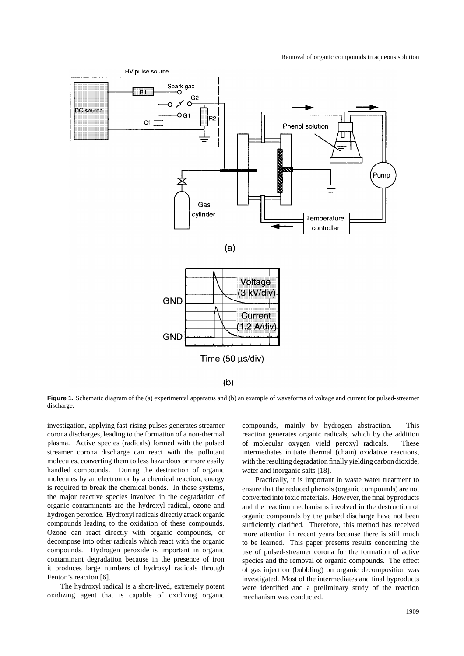

 $(b)$ 

**Figure 1.** Schematic diagram of the (a) experimental apparatus and (b) an example of waveforms of voltage and current for pulsed-streamer discharge.

investigation, applying fast-rising pulses generates streamer corona discharges, leading to the formation of a non-thermal plasma. Active species (radicals) formed with the pulsed streamer corona discharge can react with the pollutant molecules, converting them to less hazardous or more easily handled compounds. During the destruction of organic molecules by an electron or by a chemical reaction, energy is required to break the chemical bonds. In these systems, the major reactive species involved in the degradation of organic contaminants are the hydroxyl radical, ozone and hydrogen peroxide. Hydroxyl radicals directly attack organic compounds leading to the oxidation of these compounds. Ozone can react directly with organic compounds, or decompose into other radicals which react with the organic compounds. Hydrogen peroxide is important in organic contaminant degradation because in the presence of iron it produces large numbers of hydroxyl radicals through Fenton's reaction [6].

The hydroxyl radical is a short-lived, extremely potent oxidizing agent that is capable of oxidizing organic compounds, mainly by hydrogen abstraction. This reaction generates organic radicals, which by the addition of molecular oxygen yield peroxyl radicals. These intermediates initiate thermal (chain) oxidative reactions, with the resulting degradation finally yielding carbon dioxide, water and inorganic salts [18].

Practically, it is important in waste water treatment to ensure that the reduced phenols (organic compounds) are not converted into toxic materials. However, the final byproducts and the reaction mechanisms involved in the destruction of organic compounds by the pulsed discharge have not been sufficiently clarified. Therefore, this method has received more attention in recent years because there is still much to be learned. This paper presents results concerning the use of pulsed-streamer corona for the formation of active species and the removal of organic compounds. The effect of gas injection (bubbling) on organic decomposition was investigated. Most of the intermediates and final byproducts were identified and a preliminary study of the reaction mechanism was conducted.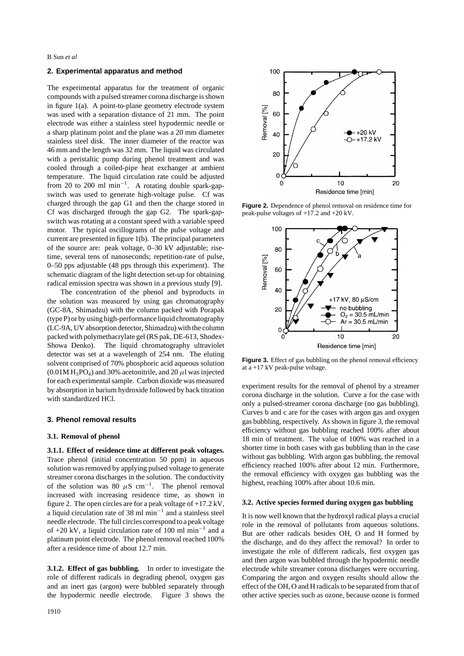B Sun *et al*

## **2. Experimental apparatus and method**

The experimental apparatus for the treatment of organic compounds with a pulsed streamer corona discharge is shown in figure 1(a). A point-to-plane geometry electrode system was used with a separation distance of 21 mm. The point electrode was either a stainless steel hypodermic needle or a sharp platinum point and the plane was a 20 mm diameter stainless steel disk. The inner diameter of the reactor was 46 mm and the length was 32 mm. The liquid was circulated with a peristaltic pump during phenol treatment and was cooled through a coiled-pipe heat exchanger at ambient temperature. The liquid circulation rate could be adjusted from 20 to 200 ml min−<sup>1</sup> . A rotating double spark-gapswitch was used to generate high-voltage pulse. Cf was charged through the gap G1 and then the charge stored in Cf was discharged through the gap G2. The spark-gapswitch was rotating at a constant speed with a variable speed motor. The typical oscillograms of the pulse voltage and current are presented in figure 1(b). The principal parameters of the source are: peak voltage, 0–30 kV adjustable; risetime, several tens of nanoseconds; repetition-rate of pulse, 0–50 pps adjustable (48 pps through this experiment). The schematic diagram of the light detection set-up for obtaining radical emission spectra was shown in a previous study [9].

The concentration of the phenol and byproducts in the solution was measured by using gas chromatography (GC-8A, Shimadzu) with the column packed with Porapak (type P) or by using high-performance liquid chromatography (LC-9A, UV absorption detector, Shimadzu) with the column packed with polymethacrylate gel (RS pak, DE-613, Shodex-Showa Denko). The liquid chromatography ultraviolet detector was set at a wavelength of 254 nm. The eluting solvent comprised of 70% phosphoric acid aqueous solution  $(0.01M H_3PO_4)$  and 30% acetonitrile, and 20  $\mu$ l was injected for each experimental sample. Carbon dioxide was measured by absorption in barium hydroxide followed by back titration with standardized HCl.

#### **3. Phenol removal results**

#### **3.1. Removal of phenol**

**3.1.1. Effect of residence time at different peak voltages.** Trace phenol (initial concentration 50 ppm) in aqueous solution was removed by applying pulsed voltage to generate streamer corona discharges in the solution. The conductivity of the solution was 80  $\mu$ S cm<sup>-1</sup>. The phenol removal increased with increasing residence time, as shown in figure 2. The open circles are for a peak voltage of +17*.*2 kV, a liquid circulation rate of 38 ml min<sup> $-1$ </sup> and a stainless steel needle electrode. The full circles correspond to a peak voltage of +20 kV, a liquid circulation rate of 100 ml min−<sup>1</sup> and a platinum point electrode. The phenol removal reached 100% after a residence time of about 12.7 min.

**3.1.2. Effect of gas bubbling.** In order to investigate the role of different radicals in degrading phenol, oxygen gas and an inert gas (argon) were bubbled separately through the hypodermic needle electrode. Figure 3 shows the



**Figure 2.** Dependence of phenol removal on residence time for peak-pulse voltages of +17*.*2 and +20 kV.



Figure 3. Effect of gas bubbling on the phenol removal efficiency at a +17 kV peak-pulse voltage.

experiment results for the removal of phenol by a streamer corona discharge in the solution. Curve a for the case with only a pulsed-streamer corona discharge (no gas bubbling). Curves b and c are for the cases with argon gas and oxygen gas bubbling, respectively. As shown in figure 3, the removal efficiency without gas bubbling reached 100% after about 18 min of treatment. The value of 100% was reached in a shorter time in both cases with gas bubbling than in the case without gas bubbling. With argon gas bubbling, the removal efficiency reached 100% after about 12 min. Furthermore, the removal efficiency with oxygen gas bubbling was the highest, reaching 100% after about 10.6 min.

#### **3.2. Active species formed during oxygen gas bubbling**

It is now well known that the hydroxyl radical plays a crucial role in the removal of pollutants from aqueous solutions. But are other radicals besides OH, O and H formed by the discharge, and do they affect the removal? In order to investigate the role of different radicals, first oxygen gas and then argon was bubbled through the hypodermic needle electrode while streamer corona discharges were occurring. Comparing the argon and oxygen results should allow the effect of the OH, O and H radicals to be separated from that of other active species such as ozone, because ozone is formed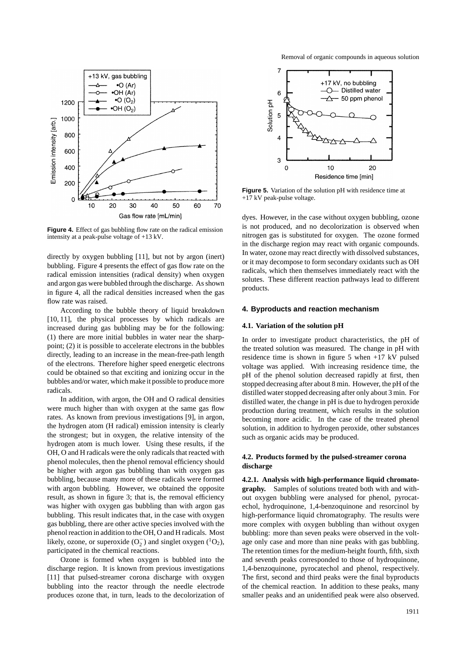

Figure 4. Effect of gas bubbling flow rate on the radical emission intensity at a peak-pulse voltage of +13 kV.

directly by oxygen bubbling [11], but not by argon (inert) bubbling. Figure 4 presents the effect of gas flow rate on the radical emission intensities (radical density) when oxygen and argon gas were bubbled through the discharge. As shown in figure 4, all the radical densities increased when the gas flow rate was raised.

According to the bubble theory of liquid breakdown [10, 11], the physical processes by which radicals are increased during gas bubbling may be for the following: (1) there are more initial bubbles in water near the sharppoint; (2) it is possible to accelerate electrons in the bubbles directly, leading to an increase in the mean-free-path length of the electrons. Therefore higher speed energetic electrons could be obtained so that exciting and ionizing occur in the bubbles and/or water, which make it possible to produce more radicals.

In addition, with argon, the OH and O radical densities were much higher than with oxygen at the same gas flow rates. As known from previous investigations [9], in argon, the hydrogen atom (H radical) emission intensity is clearly the strongest; but in oxygen, the relative intensity of the hydrogen atom is much lower. Using these results, if the OH, O and H radicals were the only radicals that reacted with phenol molecules, then the phenol removal efficiency should be higher with argon gas bubbling than with oxygen gas bubbling, because many more of these radicals were formed with argon bubbling. However, we obtained the opposite result, as shown in figure 3; that is, the removal efficiency was higher with oxygen gas bubbling than with argon gas bubbling. This result indicates that, in the case with oxygen gas bubbling, there are other active species involved with the phenol reaction in addition to the OH, O and H radicals. Most likely, ozone, or superoxide  $(O_2^-)$  and singlet oxygen  $(^1O_2)$ , participated in the chemical reactions.

Ozone is formed when oxygen is bubbled into the discharge region. It is known from previous investigations [11] that pulsed-streamer corona discharge with oxygen bubbling into the reactor through the needle electrode produces ozone that, in turn, leads to the decolorization of Removal of organic compounds in aqueous solution



**Figure 5.** Variation of the solution pH with residence time at +17 kV peak-pulse voltage.

dyes. However, in the case without oxygen bubbling, ozone is not produced, and no decolorization is observed when nitrogen gas is substituted for oxygen. The ozone formed in the discharge region may react with organic compounds. In water, ozone may react directly with dissolved substances, or it may decompose to form secondary oxidants such as OH radicals, which then themselves immediately react with the solutes. These different reaction pathways lead to different products.

#### **4. Byproducts and reaction mechanism**

#### **4.1. Variation of the solution pH**

In order to investigate product characteristics, the pH of the treated solution was measured. The change in pH with residence time is shown in figure 5 when +17 kV pulsed voltage was applied. With increasing residence time, the pH of the phenol solution decreased rapidly at first, then stopped decreasing after about 8 min. However, the pH of the distilled water stopped decreasing after only about 3 min. For distilled water, the change in pH is due to hydrogen peroxide production during treatment, which results in the solution becoming more acidic. In the case of the treated phenol solution, in addition to hydrogen peroxide, other substances such as organic acids may be produced.

# **4.2. Products formed by the pulsed-streamer corona discharge**

**4.2.1. Analysis with high-performance liquid chromatography.** Samples of solutions treated both with and without oxygen bubbling were analysed for phenol, pyrocatechol, hydroquinone, 1,4-benzoquinone and resorcinol by high-performance liquid chromatography. The results were more complex with oxygen bubbling than without oxygen bubbling: more than seven peaks were observed in the voltage only case and more than nine peaks with gas bubbling. The retention times for the medium-height fourth, fifth, sixth and seventh peaks corresponded to those of hydroquinone, 1,4-benzoquinone, pyrocatechol and phenol, respectively. The first, second and third peaks were the final byproducts of the chemical reaction. In addition to these peaks, many smaller peaks and an unidentified peak were also observed.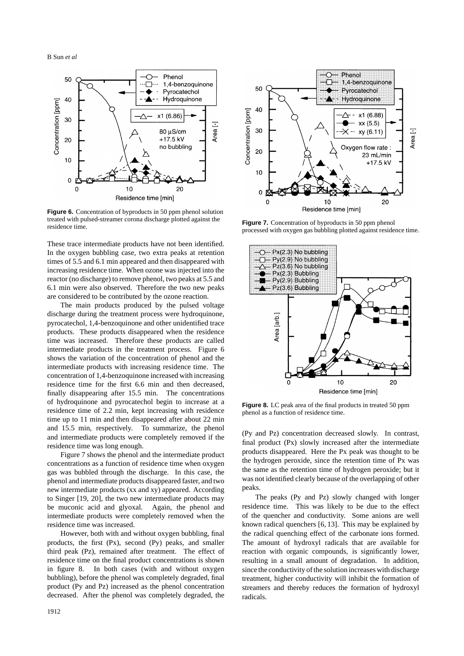B Sun *et al*



**Figure 6.** Concentration of byproducts in 50 ppm phenol solution treated with pulsed-streamer corona discharge plotted against the residence time.

These trace intermediate products have not been identified. In the oxygen bubbling case, two extra peaks at retention times of 5.5 and 6.1 min appeared and then disappeared with increasing residence time. When ozone was injected into the reactor (no discharge) to remove phenol, two peaks at 5.5 and 6.1 min were also observed. Therefore the two new peaks are considered to be contributed by the ozone reaction.

The main products produced by the pulsed voltage discharge during the treatment process were hydroquinone, pyrocatechol, 1,4-benzoquinone and other unidentified trace products. These products disappeared when the residence time was increased. Therefore these products are called intermediate products in the treatment process. Figure 6 shows the variation of the concentration of phenol and the intermediate products with increasing residence time. The concentration of 1,4-benzoquinone increased with increasing residence time for the first 6.6 min and then decreased, finally disappearing after 15.5 min. The concentrations of hydroquinone and pyrocatechol begin to increase at a residence time of 2.2 min, kept increasing with residence time up to 11 min and then disappeared after about 22 min and 15.5 min, respectively. To summarize, the phenol and intermediate products were completely removed if the residence time was long enough.

Figure 7 shows the phenol and the intermediate product concentrations as a function of residence time when oxygen gas was bubbled through the discharge. In this case, the phenol and intermediate products disappeared faster, and two new intermediate products (xx and xy) appeared. According to Singer [19, 20], the two new intermediate products may be muconic acid and glyoxal. Again, the phenol and intermediate products were completely removed when the residence time was increased.

However, both with and without oxygen bubbling, final products, the first (Px), second (Py) peaks, and smaller third peak (Pz), remained after treatment. The effect of residence time on the final product concentrations is shown in figure 8. In both cases (with and without oxygen bubbling), before the phenol was completely degraded, final product (Py and Pz) increased as the phenol concentration decreased. After the phenol was completely degraded, the



**Figure 7.** Concentration of byproducts in 50 ppm phenol processed with oxygen gas bubbling plotted against residence time.



**Figure 8.** LC peak area of the final products in treated 50 ppm phenol as a function of residence time.

(Py and Pz) concentration decreased slowly. In contrast, final product (Px) slowly increased after the intermediate products disappeared. Here the Px peak was thought to be the hydrogen peroxide, since the retention time of Px was the same as the retention time of hydrogen peroxide; but it was not identified clearly because of the overlapping of other peaks.

The peaks (Py and Pz) slowly changed with longer residence time. This was likely to be due to the effect of the quencher and conductivity. Some anions are well known radical quenchers [6, 13]. This may be explained by the radical quenching effect of the carbonate ions formed. The amount of hydroxyl radicals that are available for reaction with organic compounds, is significantly lower, resulting in a small amount of degradation. In addition, since the conductivity of the solution increases with discharge treatment, higher conductivity will inhibit the formation of streamers and thereby reduces the formation of hydroxyl radicals.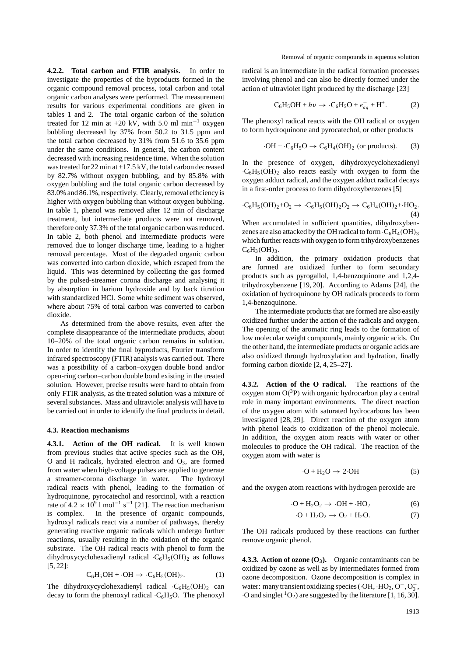**4.2.2. Total carbon and FTIR analysis.** In order to investigate the properties of the byproducts formed in the organic compound removal process, total carbon and total organic carbon analyses were performed. The measurement results for various experimental conditions are given in tables 1 and 2. The total organic carbon of the solution treated for 12 min at +20 kV, with 5.0 ml min<sup>-1</sup> oxygen bubbling decreased by 37% from 50.2 to 31.5 ppm and the total carbon decreased by 31% from 51.6 to 35.6 ppm under the same conditions. In general, the carbon content decreased with increasing residence time. When the solution was treated for 22 min at +17*.*5 kV, the total carbon decreased by 82.7% without oxygen bubbling, and by 85.8% with oxygen bubbling and the total organic carbon decreased by 83.0% and 86.1%, respectively. Clearly, removal efficiency is higher with oxygen bubbling than without oxygen bubbling. In table 1, phenol was removed after 12 min of discharge treatment, but intermediate products were not removed, therefore only 37.3% of the total organic carbon was reduced. In table 2, both phenol and intermediate products were removed due to longer discharge time, leading to a higher removal percentage. Most of the degraded organic carbon was converted into carbon dioxide, which escaped from the liquid. This was determined by collecting the gas formed by the pulsed-streamer corona discharge and analysing it by absorption in barium hydroxide and by back titration with standardized HCl. Some white sediment was observed, where about 75% of total carbon was converted to carbon dioxide.

As determined from the above results, even after the complete disappearance of the intermediate products, about 10–20% of the total organic carbon remains in solution. In order to identify the final byproducts, Fourier transform infrared spectroscopy (FTIR) analysis was carried out. There was a possibility of a carbon–oxygen double bond and/or open-ring carbon–carbon double bond existing in the treated solution. However, precise results were hard to obtain from only FTIR analysis, as the treated solution was a mixture of several substances. Mass and ultraviolet analysis will have to be carried out in order to identify the final products in detail.

#### **4.3. Reaction mechanisms**

**4.3.1. Action of the OH radical.** It is well known from previous studies that active species such as the OH, O and H radicals, hydrated electron and  $O_3$ , are formed from water when high-voltage pulses are applied to generate a streamer-corona discharge in water. The hydroxyl radical reacts with phenol, leading to the formation of hydroquinone, pyrocatechol and resorcinol, with a reaction rate of  $4.2 \times 10^9$  l mol<sup>-1</sup> s<sup>-1</sup> [21]. The reaction mechanism<br>is complex. In the presence of organic compounds, In the presence of organic compounds, hydroxyl radicals react via a number of pathways, thereby generating reactive organic radicals which undergo further reactions, usually resulting in the oxidation of the organic substrate. The OH radical reacts with phenol to form the dihydroxycyclohexadienyl radical  $\cdot C_6H_5(OH)_2$  as follows [5, 22]:

$$
C_6H_5OH + \cdot OH \rightarrow \cdot C_6H_5(OH)_2. \tag{1}
$$

The dihydroxycyclohexadienyl radical  $\cdot C_6H_5(OH)_2$  can decay to form the phenoxyl radical  $\cdot C_6H_5O$ . The phenoxyl radical is an intermediate in the radical formation processes involving phenol and can also be directly formed under the action of ultraviolet light produced by the discharge [23]

$$
C_6H_5OH + h\nu \to \cdot C_6H_5O + e_{aq}^- + H^+. \tag{2}
$$

The phenoxyl radical reacts with the OH radical or oxygen to form hydroquinone and pyrocatechol, or other products

$$
\cdot OH + \cdot C_6H_5O \rightarrow C_6H_4(OH)_2 \text{ (or products).} \tag{3}
$$

In the presence of oxygen, dihydroxycyclohexadienyl  $\cdot$ C<sub>6</sub>H<sub>5</sub>(OH)<sub>2</sub> also reacts easily with oxygen to form the oxygen adduct radical, and the oxygen adduct radical decays in a first-order process to form dihydroxybenzenes [5]

$$
\cdot C_6H_5(OH)_2 + O_2 \rightarrow \cdot C_6H_5(OH)_2O_2 \rightarrow C_6H_4(OH)_2 + \cdot HO_2. \tag{4}
$$

When accumulated in sufficient quantities, dihydroxybenzenes are also attacked by the OH radical to form  $\cdot C_6H_4(OH)_3$ which further reacts with oxygen to form trihydroxybenzenes  $C_6H_3(OH)_3$ .

In addition, the primary oxidation products that formed are oxidized further to form secondary products such as pyrogallol, 1,4-benzoquinone and 1,2,4 trihydroxybenzene [19, 20]. According to Adams [24], the oxidation of hydroquinone by OH radicals proceeds to form 1,4-benzoquinone.

The intermediate products that are formed are also easily oxidized further under the action of the radicals and oxygen. The opening of the aromatic ring leads to the formation of low molecular weight compounds, mainly organic acids. On the other hand, the intermediate products or organic acids are also oxidized through hydroxylation and hydration, finally forming carbon dioxide [2, 4, 25–27].

**4.3.2. Action of the O radical.** The reactions of the oxygen atom  $O(^3P)$  with organic hydrocarbon play a central role in many important environments. The direct reaction of the oxygen atom with saturated hydrocarbons has been investigated [28, 29]. Direct reaction of the oxygen atom with phenol leads to oxidization of the phenol molecule. In addition, the oxygen atom reacts with water or other molecules to produce the OH radical. The reaction of the oxygen atom with water is

$$
\cdot \text{O} + \text{H}_2\text{O} \rightarrow 2\cdot \text{OH} \tag{5}
$$

and the oxygen atom reactions with hydrogen peroxide are

$$
\cdot \text{O} + \text{H}_2\text{O}_2 \rightarrow \cdot \text{OH} + \cdot \text{HO}_2 \tag{6}
$$

$$
\cdot \mathbf{O} + \mathbf{H}_2 \mathbf{O}_2 \rightarrow \mathbf{O}_2 + \mathbf{H}_2 \mathbf{O}.\tag{7}
$$

The OH radicals produced by these reactions can further remove organic phenol.

**4.3.3. Action of ozone**  $(O_3)$ **.** Organic contaminants can be oxidized by ozone as well as by intermediates formed from ozone decomposition. Ozone decomposition is complex in water: many transient oxidizing species ( $\cdot$ OH,  $\cdot$ HO<sub>2</sub>, O<sup>-</sup>, O<sub>3</sub>,  $\cdot$ O and singlet  ${}^{1}O_2$ ) are suggested by the literature [1, 16, 30].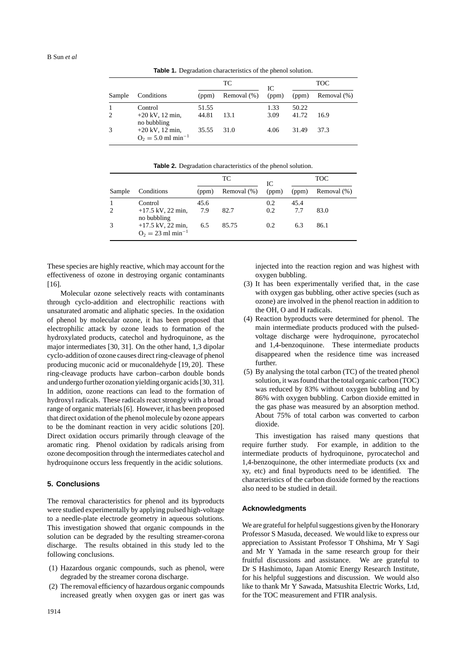**Table 1.** Degradation characteristics of the phenol solution.

| Sample | Conditions                                            | TC             |             | IС           | <b>TOC</b>     |             |
|--------|-------------------------------------------------------|----------------|-------------|--------------|----------------|-------------|
|        |                                                       | (ppm)          | Removal (%) | (ppm)        | (ppm)          | Removal (%) |
| 2      | Control<br>$+20$ kV, 12 min,<br>no bubbling           | 51.55<br>44.81 | 13.1        | 1.33<br>3.09 | 50.22<br>41.72 | 16.9        |
|        | $+20$ kV, 12 min,<br>$Q_2 = 5.0$ ml min <sup>-1</sup> | 35.55          | 31.0        | 4.06         | 31.49          | 37.3        |

**Table 2.** Degradation characteristics of the phenol solution.

|                |                                                        | TС    |             | IC    | <b>TOC</b> |             |
|----------------|--------------------------------------------------------|-------|-------------|-------|------------|-------------|
| Sample         | Conditions                                             | (ppm) | Removal (%) | (ppm) | (ppm)      | Removal (%) |
|                | Control                                                | 45.6  |             | 0.2   | 45.4       |             |
| $\overline{2}$ | $+17.5$ kV, 22 min,<br>no bubbling                     | 7.9   | 82.7        | 0.2   | 7.7        | 83.0        |
| 3              | $+17.5$ kV, 22 min,<br>$O_2 = 23$ ml min <sup>-1</sup> | 6.5   | 85.75       | 0.2   | 6.3        | 86.1        |

These species are highly reactive, which may account for the effectiveness of ozone in destroying organic contaminants [16].

Molecular ozone selectively reacts with contaminants through cyclo-addition and electrophilic reactions with unsaturated aromatic and aliphatic species. In the oxidation of phenol by molecular ozone, it has been proposed that electrophilic attack by ozone leads to formation of the hydroxylated products, catechol and hydroquinone, as the major intermediates [30, 31]. On the other hand, 1,3 dipolar cyclo-addition of ozone causes direct ring-cleavage of phenol producing muconic acid or muconaldehyde [19, 20]. These ring-cleavage products have carbon–carbon double bonds and undergo further ozonation yielding organic acids [30, 31]. In addition, ozone reactions can lead to the formation of hydroxyl radicals. These radicals react strongly with a broad range of organic materials [6]. However, it has been proposed that direct oxidation of the phenol molecule by ozone appears to be the dominant reaction in very acidic solutions [20]. Direct oxidation occurs primarily through cleavage of the aromatic ring. Phenol oxidation by radicals arising from ozone decomposition through the intermediates catechol and hydroquinone occurs less frequently in the acidic solutions.

# **5. Conclusions**

The removal characteristics for phenol and its byproducts were studied experimentally by applying pulsed high-voltage to a needle-plate electrode geometry in aqueous solutions. This investigation showed that organic compounds in the solution can be degraded by the resulting streamer-corona discharge. The results obtained in this study led to the following conclusions.

- (1) Hazardous organic compounds, such as phenol, were degraded by the streamer corona discharge.
- (2) The removal efficiency of hazardous organic compounds increased greatly when oxygen gas or inert gas was

injected into the reaction region and was highest with oxygen bubbling.

- (3) It has been experimentally verified that, in the case with oxygen gas bubbling, other active species (such as ozone) are involved in the phenol reaction in addition to the OH, O and H radicals.
- (4) Reaction byproducts were determined for phenol. The main intermediate products produced with the pulsedvoltage discharge were hydroquinone, pyrocatechol and 1,4-benzoquinone. These intermediate products disappeared when the residence time was increased further.
- (5) By analysing the total carbon (TC) of the treated phenol solution, it was found that the total organic carbon (TOC) was reduced by 83% without oxygen bubbling and by 86% with oxygen bubbling. Carbon dioxide emitted in the gas phase was measured by an absorption method. About 75% of total carbon was converted to carbon dioxide.

This investigation has raised many questions that require further study. For example, in addition to the intermediate products of hydroquinone, pyrocatechol and 1,4-benzoquinone, the other intermediate products (xx and xy, etc) and final byproducts need to be identified. The characteristics of the carbon dioxide formed by the reactions also need to be studied in detail.

#### **Acknowledgments**

We are grateful for helpful suggestions given by the Honorary Professor S Masuda, deceased. We would like to express our appreciation to Assistant Professor T Ohshima, Mr Y Sagi and Mr Y Yamada in the same research group for their fruitful discussions and assistance. We are grateful to Dr S Hashimoto, Japan Atomic Energy Research Institute, for his helpful suggestions and discussion. We would also like to thank Mr Y Sawada, Matsushita Electric Works, Ltd, for the TOC measurement and FTIR analysis.